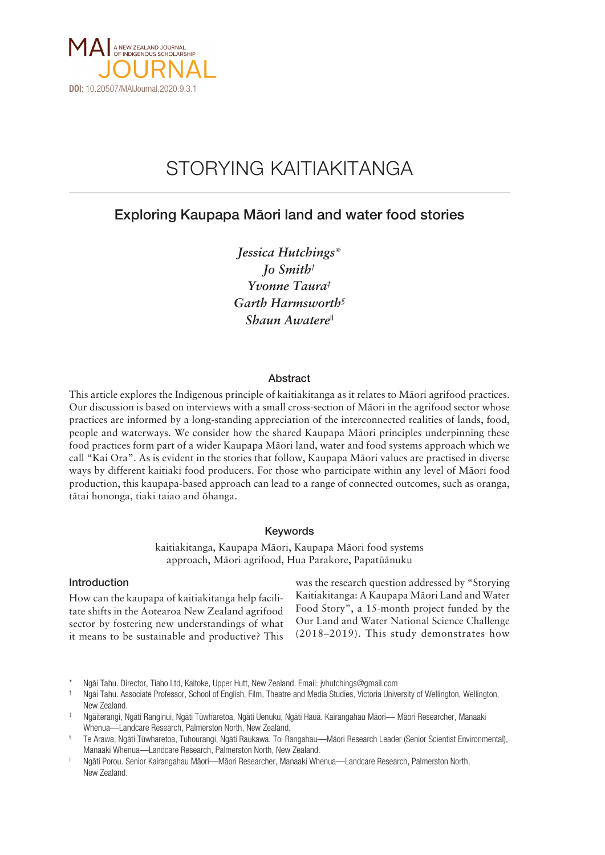

# STORYING KAITIAKITANGA

# Exploring Kaupapa Mäori land and water food stories

*Jessica Hutchings\* Jo Smith† Yvonne Taura‡ Garth Harmsworth§ Shaun Awatere||*

# Abstract

This article explores the Indigenous principle of kaitiakitanga as it relates to Mäori agrifood practices. Our discussion is based on interviews with a small cross-section of Mäori in the agrifood sector whose practices are informed by a long-standing appreciation of the interconnected realities of lands, food, people and waterways. We consider how the shared Kaupapa Mäori principles underpinning these food practices form part of a wider Kaupapa Mäori land, water and food systems approach which we call "Kai Ora". As is evident in the stories that follow, Kaupapa Mäori values are practised in diverse ways by different kaitiaki food producers. For those who participate within any level of Mäori food production, this kaupapa-based approach can lead to a range of connected outcomes, such as oranga, tätai hononga, tiaki taiao and öhanga.

# Keywords

kaitiakitanga, Kaupapa Mäori, Kaupapa Mäori food systems approach, Mäori agrifood, Hua Parakore, Papatüänuku

# Introduction

How can the kaupapa of kaitiakitanga help facilitate shifts in the Aotearoa New Zealand agrifood sector by fostering new understandings of what it means to be sustainable and productive? This was the research question addressed by "Storying Kaitiakitanga: A Kaupapa Mäori Land and Water Food Story", a 15-month project funded by the Our Land and Water National Science Challenge (2018–2019). This study demonstrates how

- § Te Arawa, Ngäti Tüwharetoa, Tuhourangi, Ngäti Raukawa. Toi Rangahau—Mäori Research Leader (Senior Scientist Environmental), Manaaki Whenua—Landcare Research, Palmerston North, New Zealand.
- || Ngäti Porou. Senior Kairangahau Mäori—Mäori Researcher, Manaaki Whenua—Landcare Research, Palmerston North, New Zealand.

Ngāi Tahu. Director, Tiaho Ltd, Kaitoke, Upper Hutt, New Zealand. Email: jvhutchings@gmail.com

<sup>†</sup> Ngäi Tahu. Associate Professor, School of English, Film, Theatre and Media Studies, Victoria University of Wellington, Wellington, New Zealand.

<sup>‡</sup> Ngäiterangi, Ngäti Ranginui, Ngäti Tüwharetoa, Ngäti Uenuku, Ngäti Hauä. Kairangahau Mäori— Mäori Researcher, Manaaki Whenua—Landcare Research, Palmerston North, New Zealand.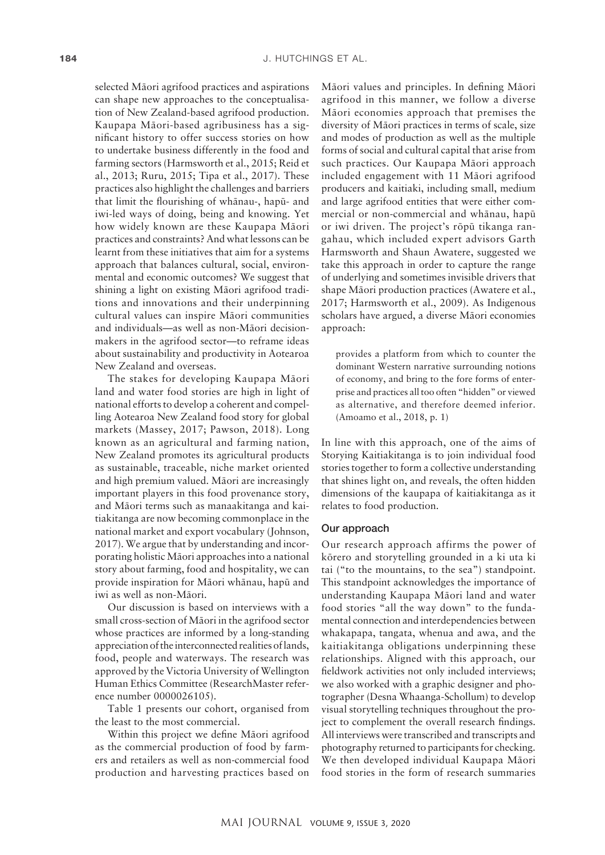selected Mäori agrifood practices and aspirations can shape new approaches to the conceptualisation of New Zealand-based agrifood production. Kaupapa Mäori-based agribusiness has a significant history to offer success stories on how to undertake business differently in the food and farming sectors (Harmsworth et al., 2015; Reid et al., 2013; Ruru, 2015; Tipa et al., 2017). These practices also highlight the challenges and barriers that limit the flourishing of whänau-, hapü- and iwi-led ways of doing, being and knowing. Yet how widely known are these Kaupapa Mäori practices and constraints? And what lessons can be learnt from these initiatives that aim for a systems approach that balances cultural, social, environmental and economic outcomes? We suggest that shining a light on existing Mäori agrifood traditions and innovations and their underpinning cultural values can inspire Mäori communities and individuals—as well as non-Mäori decisionmakers in the agrifood sector—to reframe ideas about sustainability and productivity in Aotearoa New Zealand and overseas.

The stakes for developing Kaupapa Mäori land and water food stories are high in light of national efforts to develop a coherent and compelling Aotearoa New Zealand food story for global markets (Massey, 2017; Pawson, 2018). Long known as an agricultural and farming nation, New Zealand promotes its agricultural products as sustainable, traceable, niche market oriented and high premium valued. Mäori are increasingly important players in this food provenance story, and Mäori terms such as manaakitanga and kaitiakitanga are now becoming commonplace in the national market and export vocabulary (Johnson, 2017). We argue that by understanding and incorporating holistic Mäori approaches into a national story about farming, food and hospitality, we can provide inspiration for Mäori whänau, hapü and iwi as well as non-Mäori.

Our discussion is based on interviews with a small cross-section of Mäori in the agrifood sector whose practices are informed by a long-standing appreciation of the interconnected realities of lands, food, people and waterways. The research was approved by the Victoria University of Wellington Human Ethics Committee (ResearchMaster reference number 0000026105).

Table 1 presents our cohort, organised from the least to the most commercial.

Within this project we define Mäori agrifood as the commercial production of food by farmers and retailers as well as non-commercial food production and harvesting practices based on

Mäori values and principles. In defining Mäori agrifood in this manner, we follow a diverse Mäori economies approach that premises the diversity of Mäori practices in terms of scale, size and modes of production as well as the multiple forms of social and cultural capital that arise from such practices. Our Kaupapa Mäori approach included engagement with 11 Mäori agrifood producers and kaitiaki, including small, medium and large agrifood entities that were either commercial or non-commercial and whänau, hapü or iwi driven. The project's röpü tikanga rangahau, which included expert advisors Garth Harmsworth and Shaun Awatere, suggested we take this approach in order to capture the range of underlying and sometimes invisible drivers that shape Mäori production practices (Awatere et al., 2017; Harmsworth et al., 2009). As Indigenous scholars have argued, a diverse Mäori economies approach:

provides a platform from which to counter the dominant Western narrative surrounding notions of economy, and bring to the fore forms of enterprise and practices all too often "hidden" or viewed as alternative, and therefore deemed inferior. (Amoamo et al., 2018, p. 1)

In line with this approach, one of the aims of Storying Kaitiakitanga is to join individual food stories together to form a collective understanding that shines light on, and reveals, the often hidden dimensions of the kaupapa of kaitiakitanga as it relates to food production.

#### Our approach

Our research approach affirms the power of körero and storytelling grounded in a ki uta ki tai ("to the mountains, to the sea") standpoint. This standpoint acknowledges the importance of understanding Kaupapa Mäori land and water food stories "all the way down" to the fundamental connection and interdependencies between whakapapa, tangata, whenua and awa, and the kaitiakitanga obligations underpinning these relationships. Aligned with this approach, our fieldwork activities not only included interviews; we also worked with a graphic designer and photographer (Desna Whaanga-Schollum) to develop visual storytelling techniques throughout the project to complement the overall research findings. All interviews were transcribed and transcripts and photography returned to participants for checking. We then developed individual Kaupapa Mäori food stories in the form of research summaries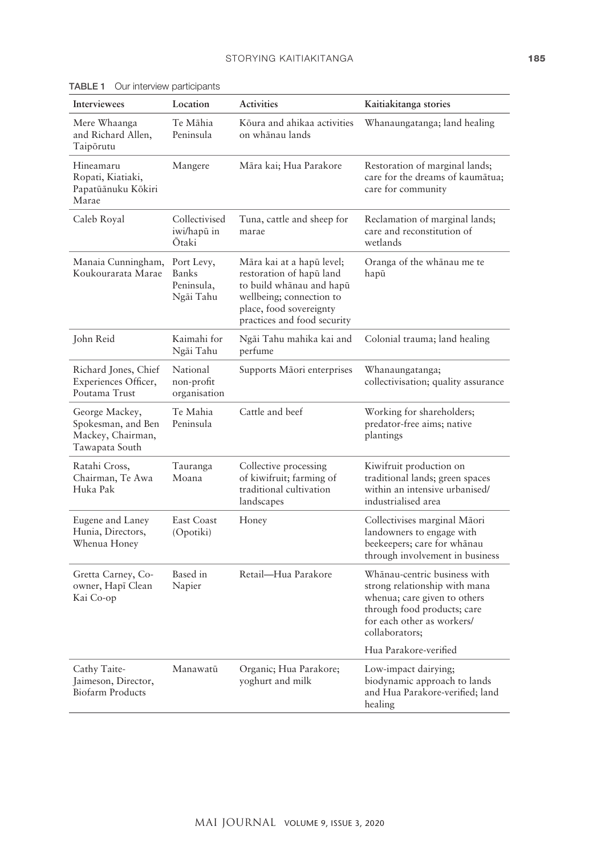| Interviewees                                                                | Location                                              | <b>Activities</b>                                                                                                                                                       | Kaitiakitanga stories                                                                                                                                                        |
|-----------------------------------------------------------------------------|-------------------------------------------------------|-------------------------------------------------------------------------------------------------------------------------------------------------------------------------|------------------------------------------------------------------------------------------------------------------------------------------------------------------------------|
| Mere Whaanga<br>and Richard Allen,<br>Taipōrutu                             | Te Māhia<br>Peninsula                                 | Kōura and ahikaa activities<br>on whānau lands                                                                                                                          | Whanaungatanga; land healing                                                                                                                                                 |
| Hineamaru<br>Ropati, Kiatiaki,<br>Papatūānuku Kōkiri<br>Marae               | Mangere                                               | Māra kai; Hua Parakore                                                                                                                                                  | Restoration of marginal lands;<br>care for the dreams of kaumātua;<br>care for community                                                                                     |
| Caleb Royal                                                                 | Collectivised<br>iwi/hapū in<br>Ōtaki                 | Tuna, cattle and sheep for<br>marae                                                                                                                                     | Reclamation of marginal lands;<br>care and reconstitution of<br>wetlands                                                                                                     |
| Manaia Cunningham,<br>Koukourarata Marae                                    | Port Levy,<br><b>Banks</b><br>Peninsula,<br>Ngāi Tahu | Māra kai at a hapū level;<br>restoration of hapū land<br>to build whānau and hapū<br>wellbeing; connection to<br>place, food sovereignty<br>practices and food security | Oranga of the whānau me te<br>hapū                                                                                                                                           |
| John Reid                                                                   | Kaimahi for<br>Ngāi Tahu                              | Ngāi Tahu mahika kai and<br>perfume                                                                                                                                     | Colonial trauma; land healing                                                                                                                                                |
| Richard Jones, Chief<br>Experiences Officer,<br>Poutama Trust               | National<br>non-profit<br>organisation                | Supports Māori enterprises                                                                                                                                              | Whanaungatanga;<br>collectivisation; quality assurance                                                                                                                       |
| George Mackey,<br>Spokesman, and Ben<br>Mackey, Chairman,<br>Tawapata South | Te Mahia<br>Peninsula                                 | Cattle and beef                                                                                                                                                         | Working for shareholders;<br>predator-free aims; native<br>plantings                                                                                                         |
| Ratahi Cross,<br>Chairman, Te Awa<br>Huka Pak                               | Tauranga<br>Moana                                     | Collective processing<br>of kiwifruit; farming of<br>traditional cultivation<br>landscapes                                                                              | Kiwifruit production on<br>traditional lands; green spaces<br>within an intensive urbanised/<br>industrialised area                                                          |
| Eugene and Laney<br>Hunia, Directors,<br>Whenua Honey                       | East Coast<br>(Opotiki)                               | Honey                                                                                                                                                                   | Collectivises marginal Māori<br>landowners to engage with<br>beekeepers; care for whānau<br>through involvement in business                                                  |
| Gretta Carney, Co-<br>owner, Hapī Clean<br>Kai Co-op                        | Based in<br>Napier                                    | Retail—Hua Parakore                                                                                                                                                     | Whānau-centric business with<br>strong relationship with mana<br>whenua; care given to others<br>through food products; care<br>for each other as workers/<br>collaborators; |
|                                                                             |                                                       |                                                                                                                                                                         | Hua Parakore-verified                                                                                                                                                        |
| Cathy Taite-<br>Jaimeson, Director,<br><b>Biofarm Products</b>              | Manawatū                                              | Organic; Hua Parakore;<br>yoghurt and milk                                                                                                                              | Low-impact dairying;<br>biodynamic approach to lands<br>and Hua Parakore-verified; land<br>healing                                                                           |

TABLE 1 Our interview participants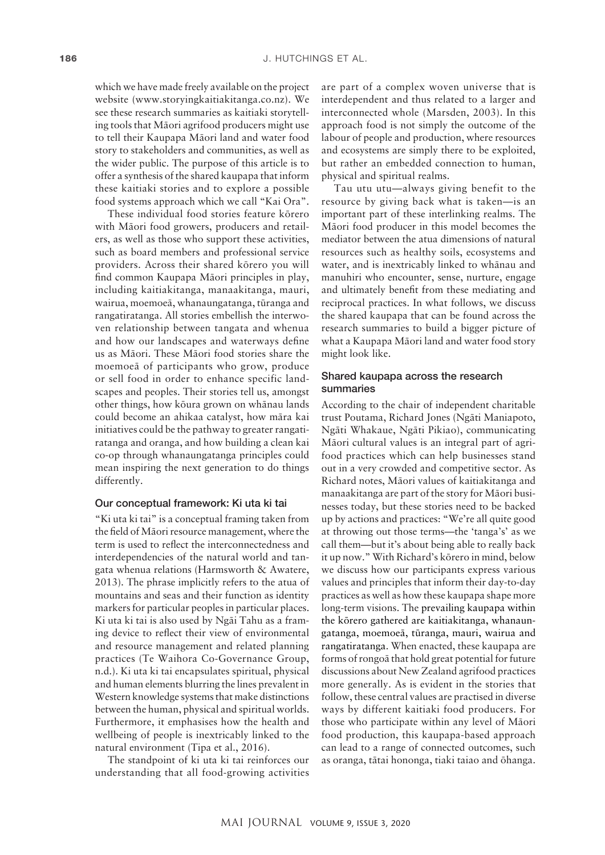which we have made freely available on the project website [\(www.storyingkaitiakitanga.co.nz](http://www.storyingkaitiakitanga.co.nz)). We see these research summaries as kaitiaki storytelling tools that Mäori agrifood producers might use to tell their Kaupapa Mäori land and water food story to stakeholders and communities, as well as the wider public. The purpose of this article is to offer a synthesis of the shared kaupapa that inform these kaitiaki stories and to explore a possible food systems approach which we call "Kai Ora".

These individual food stories feature körero with Mäori food growers, producers and retailers, as well as those who support these activities, such as board members and professional service providers. Across their shared körero you will find common Kaupapa Mäori principles in play, including kaitiakitanga, manaakitanga, mauri, wairua, moemoeä, whanaungatanga, türanga and rangatiratanga. All stories embellish the interwoven relationship between tangata and whenua and how our landscapes and waterways define us as Mäori. These Mäori food stories share the moemoeä of participants who grow, produce or sell food in order to enhance specific landscapes and peoples. Their stories tell us, amongst other things, how köura grown on whänau lands could become an ahikaa catalyst, how mära kai initiatives could be the pathway to greater rangatiratanga and oranga, and how building a clean kai co-op through whanaungatanga principles could mean inspiring the next generation to do things differently.

#### Our conceptual framework: Ki uta ki tai

"Ki uta ki tai" is a conceptual framing taken from the field of Mäori resource management, where the term is used to reflect the interconnectedness and interdependencies of the natural world and tangata whenua relations (Harmsworth & Awatere, 2013). The phrase implicitly refers to the atua of mountains and seas and their function as identity markers for particular peoples in particular places. Ki uta ki tai is also used by Ngäi Tahu as a framing device to reflect their view of environmental and resource management and related planning practices (Te Waihora Co-Governance Group, n.d.). Ki uta ki tai encapsulates spiritual, physical and human elements blurring the lines prevalent in Western knowledge systems that make distinctions between the human, physical and spiritual worlds. Furthermore, it emphasises how the health and wellbeing of people is inextricably linked to the natural environment (Tipa et al., 2016).

The standpoint of ki uta ki tai reinforces our understanding that all food-growing activities are part of a complex woven universe that is interdependent and thus related to a larger and interconnected whole (Marsden, 2003). In this approach food is not simply the outcome of the labour of people and production, where resources and ecosystems are simply there to be exploited, but rather an embedded connection to human, physical and spiritual realms.

Tau utu utu—always giving benefit to the resource by giving back what is taken—is an important part of these interlinking realms. The Mäori food producer in this model becomes the mediator between the atua dimensions of natural resources such as healthy soils, ecosystems and water, and is inextricably linked to whänau and manuhiri who encounter, sense, nurture, engage and ultimately benefit from these mediating and reciprocal practices. In what follows, we discuss the shared kaupapa that can be found across the research summaries to build a bigger picture of what a Kaupapa Mäori land and water food story might look like.

# Shared kaupapa across the research summaries

According to the chair of independent charitable trust Poutama, Richard Jones (Ngäti Maniapoto, Ngäti Whakaue, Ngäti Pikiao), communicating Mäori cultural values is an integral part of agrifood practices which can help businesses stand out in a very crowded and competitive sector. As Richard notes, Mäori values of kaitiakitanga and manaakitanga are part of the story for Mäori businesses today, but these stories need to be backed up by actions and practices: "We're all quite good at throwing out those terms—the 'tanga's' as we call them—but it's about being able to really back it up now." With Richard's körero in mind, below we discuss how our participants express various values and principles that inform their day-to-day practices as well as how these kaupapa shape more long-term visions. The prevailing kaupapa within the körero gathered are kaitiakitanga, whanaungatanga, moemoeä, türanga, mauri, wairua and rangatiratanga. When enacted, these kaupapa are forms of rongoä that hold great potential for future discussions about New Zealand agrifood practices more generally. As is evident in the stories that follow, these central values are practised in diverse ways by different kaitiaki food producers. For those who participate within any level of Mäori food production, this kaupapa-based approach can lead to a range of connected outcomes, such as oranga, tätai hononga, tiaki taiao and öhanga.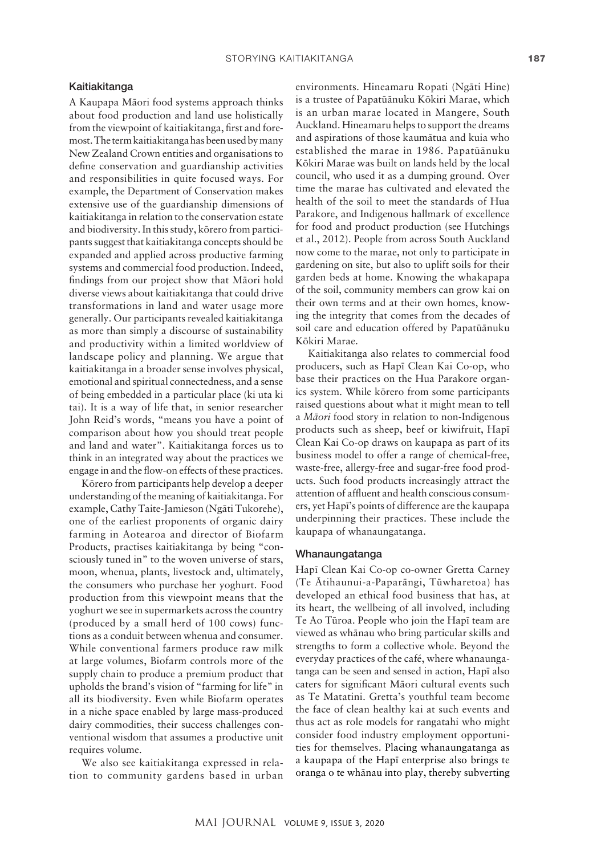#### Kaitiakitanga

A Kaupapa Mäori food systems approach thinks about food production and land use holistically from the viewpoint of kaitiakitanga, first and foremost. The term kaitiakitanga has been used by many New Zealand Crown entities and organisations to define conservation and guardianship activities and responsibilities in quite focused ways. For example, the Department of Conservation makes extensive use of the guardianship dimensions of kaitiakitanga in relation to the conservation estate and biodiversity. In this study, körero from participants suggest that kaitiakitanga concepts should be expanded and applied across productive farming systems and commercial food production. Indeed, findings from our project show that Mäori hold diverse views about kaitiakitanga that could drive transformations in land and water usage more generally. Our participants revealed kaitiakitanga as more than simply a discourse of sustainability and productivity within a limited worldview of landscape policy and planning. We argue that kaitiakitanga in a broader sense involves physical, emotional and spiritual connectedness, and a sense of being embedded in a particular place (ki uta ki tai). It is a way of life that, in senior researcher John Reid's words, "means you have a point of comparison about how you should treat people and land and water". Kaitiakitanga forces us to think in an integrated way about the practices we engage in and the flow-on effects of these practices.

Körero from participants help develop a deeper understanding of the meaning of kaitiakitanga. For example, Cathy Taite-Jamieson (Ngäti Tukorehe), one of the earliest proponents of organic dairy farming in Aotearoa and director of Biofarm Products, practises kaitiakitanga by being "consciously tuned in" to the woven universe of stars, moon, whenua, plants, livestock and, ultimately, the consumers who purchase her yoghurt. Food production from this viewpoint means that the yoghurt we see in supermarkets across the country (produced by a small herd of 100 cows) functions as a conduit between whenua and consumer. While conventional farmers produce raw milk at large volumes, Biofarm controls more of the supply chain to produce a premium product that upholds the brand's vision of "farming for life" in all its biodiversity. Even while Biofarm operates in a niche space enabled by large mass-produced dairy commodities, their success challenges conventional wisdom that assumes a productive unit requires volume.

We also see kaitiakitanga expressed in relation to community gardens based in urban

environments. Hineamaru Ropati (Ngäti Hine) is a trustee of Papatüänuku Kökiri Marae, which is an urban marae located in Mangere, South Auckland. Hineamaru helps to support the dreams and aspirations of those kaumätua and kuia who established the marae in 1986. Papatüänuku Kökiri Marae was built on lands held by the local council, who used it as a dumping ground. Over time the marae has cultivated and elevated the health of the soil to meet the standards of Hua Parakore, and Indigenous hallmark of excellence for food and product production (see Hutchings et al., 2012). People from across South Auckland now come to the marae, not only to participate in gardening on site, but also to uplift soils for their garden beds at home. Knowing the whakapapa of the soil, community members can grow kai on their own terms and at their own homes, knowing the integrity that comes from the decades of soil care and education offered by Papatüänuku Kökiri Marae.

Kaitiakitanga also relates to commercial food producers, such as Hapï Clean Kai Co-op, who base their practices on the Hua Parakore organics system. While körero from some participants raised questions about what it might mean to tell a *Mäori* food story in relation to non-Indigenous products such as sheep, beef or kiwifruit, Hapï Clean Kai Co-op draws on kaupapa as part of its business model to offer a range of chemical-free, waste-free, allergy-free and sugar-free food products. Such food products increasingly attract the attention of affluent and health conscious consumers, yet Hapï's points of difference are the kaupapa underpinning their practices. These include the kaupapa of whanaungatanga.

# Whanaungatanga

Hapï Clean Kai Co-op co-owner Gretta Carney (Te Ätihaunui-a-Paparängi, Tüwharetoa) has developed an ethical food business that has, at its heart, the wellbeing of all involved, including Te Ao Türoa. People who join the Hapï team are viewed as whänau who bring particular skills and strengths to form a collective whole. Beyond the everyday practices of the café, where whanaungatanga can be seen and sensed in action, Hapï also caters for significant Mäori cultural events such as Te Matatini. Gretta's youthful team become the face of clean healthy kai at such events and thus act as role models for rangatahi who might consider food industry employment opportunities for themselves. Placing whanaungatanga as a kaupapa of the Hapï enterprise also brings te oranga o te whänau into play, thereby subverting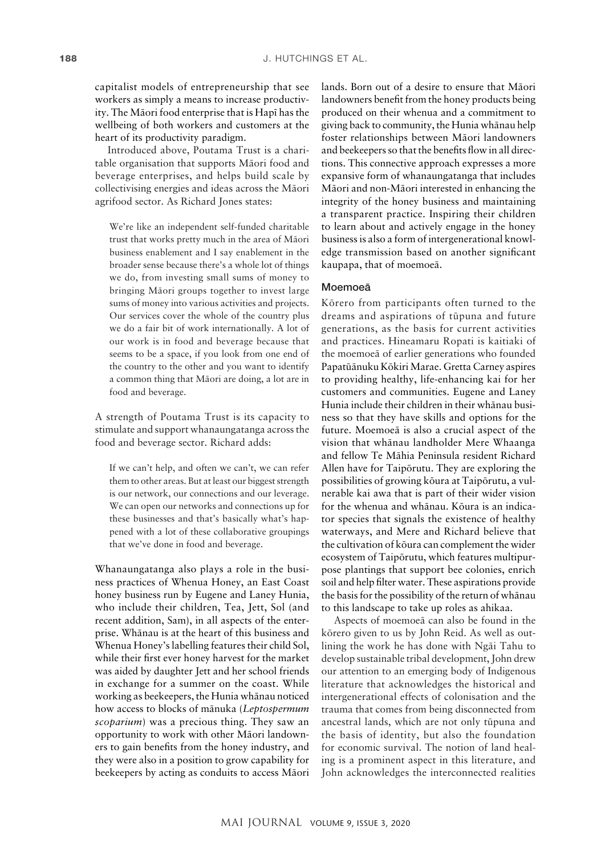capitalist models of entrepreneurship that see workers as simply a means to increase productivity. The Mäori food enterprise that is Hapï has the wellbeing of both workers and customers at the heart of its productivity paradigm.

Introduced above, Poutama Trust is a charitable organisation that supports Mäori food and beverage enterprises, and helps build scale by collectivising energies and ideas across the Mäori agrifood sector. As Richard Jones states:

We're like an independent self-funded charitable trust that works pretty much in the area of Mäori business enablement and I say enablement in the broader sense because there's a whole lot of things we do, from investing small sums of money to bringing Mäori groups together to invest large sums of money into various activities and projects. Our services cover the whole of the country plus we do a fair bit of work internationally. A lot of our work is in food and beverage because that seems to be a space, if you look from one end of the country to the other and you want to identify a common thing that Mäori are doing, a lot are in food and beverage.

A strength of Poutama Trust is its capacity to stimulate and support whanaungatanga across the food and beverage sector. Richard adds:

If we can't help, and often we can't, we can refer them to other areas. But at least our biggest strength is our network, our connections and our leverage. We can open our networks and connections up for these businesses and that's basically what's happened with a lot of these collaborative groupings that we've done in food and beverage.

Whanaungatanga also plays a role in the business practices of Whenua Honey, an East Coast honey business run by Eugene and Laney Hunia, who include their children, Tea, Jett, Sol (and recent addition, Sam), in all aspects of the enterprise. Whänau is at the heart of this business and Whenua Honey's labelling features their child Sol, while their first ever honey harvest for the market was aided by daughter Jett and her school friends in exchange for a summer on the coast. While working as beekeepers, the Hunia whänau noticed how access to blocks of mänuka (*Leptospermum scoparium*) was a precious thing. They saw an opportunity to work with other Mäori landowners to gain benefits from the honey industry, and they were also in a position to grow capability for beekeepers by acting as conduits to access Mäori

lands. Born out of a desire to ensure that Mäori landowners benefit from the honey products being produced on their whenua and a commitment to giving back to community, the Hunia whänau help foster relationships between Mäori landowners and beekeepers so that the benefits flow in all directions. This connective approach expresses a more expansive form of whanaungatanga that includes Mäori and non-Mäori interested in enhancing the integrity of the honey business and maintaining a transparent practice. Inspiring their children to learn about and actively engage in the honey business is also a form of intergenerational knowledge transmission based on another significant kaupapa, that of moemoeä.

#### Moemoeä

Körero from participants often turned to the dreams and aspirations of tüpuna and future generations, as the basis for current activities and practices. Hineamaru Ropati is kaitiaki of the moemoeä of earlier generations who founded Papatüänuku Kökiri Marae. Gretta Carney aspires to providing healthy, life-enhancing kai for her customers and communities. Eugene and Laney Hunia include their children in their whänau business so that they have skills and options for the future. Moemoeä is also a crucial aspect of the vision that whänau landholder Mere Whaanga and fellow Te Mähia Peninsula resident Richard Allen have for Taipörutu. They are exploring the possibilities of growing köura at Taipörutu, a vulnerable kai awa that is part of their wider vision for the whenua and whänau. Köura is an indicator species that signals the existence of healthy waterways, and Mere and Richard believe that the cultivation of köura can complement the wider ecosystem of Taipörutu, which features multipurpose plantings that support bee colonies, enrich soil and help filter water. These aspirations provide the basis for the possibility of the return of whänau to this landscape to take up roles as ahikaa.

Aspects of moemoeä can also be found in the körero given to us by John Reid. As well as outlining the work he has done with Ngäi Tahu to develop sustainable tribal development, John drew our attention to an emerging body of Indigenous literature that acknowledges the historical and intergenerational effects of colonisation and the trauma that comes from being disconnected from ancestral lands, which are not only tüpuna and the basis of identity, but also the foundation for economic survival. The notion of land healing is a prominent aspect in this literature, and John acknowledges the interconnected realities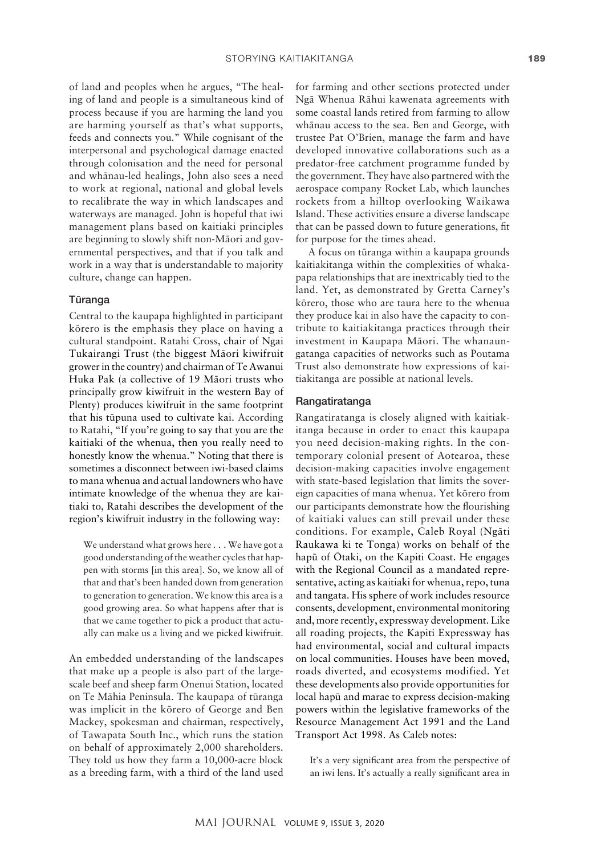of land and peoples when he argues, "The healing of land and people is a simultaneous kind of process because if you are harming the land you are harming yourself as that's what supports, feeds and connects you." While cognisant of the interpersonal and psychological damage enacted through colonisation and the need for personal and whänau-led healings, John also sees a need to work at regional, national and global levels to recalibrate the way in which landscapes and waterways are managed. John is hopeful that iwi management plans based on kaitiaki principles are beginning to slowly shift non-Mäori and governmental perspectives, and that if you talk and work in a way that is understandable to majority culture, change can happen.

# Türanga

Central to the kaupapa highlighted in participant körero is the emphasis they place on having a cultural standpoint. Ratahi Cross, chair of [Ngai](http://www.ngaitukairangitrust.co.nz/cs/Services.asp?type=5)  [Tukairangi](http://www.ngaitukairangitrust.co.nz/cs/Services.asp?type=5) Trust (the biggest Mäori kiwifruit grower in the country) and chairman of Te Awanui Huka Pak (a collective of 19 Mäori trusts who principally grow kiwifruit in the western Bay of Plenty) produces kiwifruit in the same footprint that his tüpuna used to cultivate kai. According to Ratahi, "If you're going to say that you are the kaitiaki of the whenua, then you really need to honestly know the whenua." Noting that there is sometimes a disconnect between iwi-based claims to mana whenua and actual landowners who have intimate knowledge of the whenua they are kaitiaki to, Ratahi describes the development of the region's kiwifruit industry in the following way:

We understand what grows here . . . We have got a good understanding of the weather cycles that happen with storms [in this area]. So, we know all of that and that's been handed down from generation to generation to generation. We know this area is a good growing area. So what happens after that is that we came together to pick a product that actually can make us a living and we picked kiwifruit.

An embedded understanding of the landscapes that make up a people is also part of the largescale beef and sheep farm Onenui Station, located on Te Mähia Peninsula. The kaupapa of türanga was implicit in the körero of George and Ben Mackey, spokesman and chairman, respectively, of Tawapata South Inc., which runs the station on behalf of approximately 2,000 shareholders. They told us how they farm a 10,000-acre block as a breeding farm, with a third of the land used

for farming and other sections protected under Ngä Whenua Rähui kawenata agreements with some coastal lands retired from farming to allow whänau access to the sea. Ben and George, with trustee Pat O'Brien, manage the farm and have developed innovative collaborations such as a predator-free catchment programme funded by the government. They have also partnered with the aerospace company Rocket Lab, which launches rockets from a hilltop overlooking Waikawa Island. These activities ensure a diverse landscape that can be passed down to future generations, fit for purpose for the times ahead.

A focus on türanga within a kaupapa grounds kaitiakitanga within the complexities of whakapapa relationships that are inextricably tied to the land. Yet, as demonstrated by Gretta Carney's körero, those who are taura here to the whenua they produce kai in also have the capacity to contribute to kaitiakitanga practices through their investment in Kaupapa Mäori. The whanaungatanga capacities of networks such as Poutama Trust also demonstrate how expressions of kaitiakitanga are possible at national levels.

#### Rangatiratanga

Rangatiratanga is closely aligned with kaitiakitanga because in order to enact this kaupapa you need decision-making rights. In the contemporary colonial present of Aotearoa, these decision-making capacities involve engagement with state-based legislation that limits the sovereign capacities of mana whenua. Yet körero from our participants demonstrate how the flourishing of kaitiaki values can still prevail under these conditions. For example, Caleb Royal (Ngäti Raukawa ki te Tonga) works on behalf of the hapü of Ötaki, on the Kapiti Coast. He engages with the Regional Council as a mandated representative, acting as kaitiaki for whenua, repo, tuna and tangata. His sphere of work includes resource consents, development, environmental monitoring and, more recently, expressway development. Like all roading projects, the Kapiti Expressway has had environmental, social and cultural impacts on local communities. Houses have been moved, roads diverted, and ecosystems modified. Yet these developments also provide opportunities for local hapü and marae to express decision-making powers within the legislative frameworks of the Resource Management Act 1991 and the Land Transport Act 1998. As Caleb notes:

It's a very significant area from the perspective of an iwi lens. It's actually a really significant area in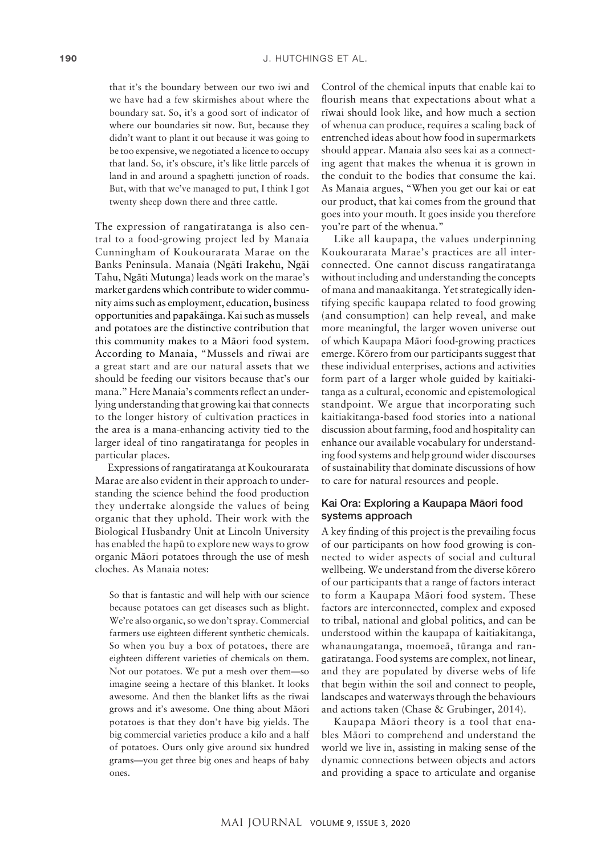that it's the boundary between our two iwi and we have had a few skirmishes about where the boundary sat. So, it's a good sort of indicator of where our boundaries sit now. But, because they didn't want to plant it out because it was going to be too expensive, we negotiated a licence to occupy that land. So, it's obscure, it's like little parcels of land in and around a spaghetti junction of roads. But, with that we've managed to put, I think I got twenty sheep down there and three cattle.

The expression of rangatiratanga is also central to a food-growing project led by Manaia Cunningham of Koukourarata Marae on the Banks Peninsula. Manaia (Ngäti Irakehu, Ngäi Tahu, Ngäti Mutunga) leads work on the marae's market gardens which contribute to wider community aims such as employment, education, business opportunities and papakäinga. Kai such as mussels and potatoes are the distinctive contribution that this community makes to a Mäori food system. According to Manaia, "Mussels and rïwai are a great start and are our natural assets that we should be feeding our visitors because that's our mana." Here Manaia's comments reflect an underlying understanding that growing kai that connects to the longer history of cultivation practices in the area is a mana-enhancing activity tied to the larger ideal of tino rangatiratanga for peoples in particular places.

Expressions of rangatiratanga at Koukourarata Marae are also evident in their approach to understanding the science behind the food production they undertake alongside the values of being organic that they uphold. Their work with the Biological Husbandry Unit at Lincoln University has enabled the hapü to explore new ways to grow organic Mäori potatoes through the use of mesh cloches. As Manaia notes:

So that is fantastic and will help with our science because potatoes can get diseases such as blight. We're also organic, so we don't spray. Commercial farmers use eighteen different synthetic chemicals. So when you buy a box of potatoes, there are eighteen different varieties of chemicals on them. Not our potatoes. We put a mesh over them—so imagine seeing a hectare of this blanket. It looks awesome. And then the blanket lifts as the rïwai grows and it's awesome. One thing about Mäori potatoes is that they don't have big yields. The big commercial varieties produce a kilo and a half of potatoes. Ours only give around six hundred grams—you get three big ones and heaps of baby ones.

Control of the chemical inputs that enable kai to flourish means that expectations about what a rïwai should look like, and how much a section of whenua can produce, requires a scaling back of entrenched ideas about how food in supermarkets should appear. Manaia also sees kai as a connecting agent that makes the whenua it is grown in the conduit to the bodies that consume the kai. As Manaia argues, "When you get our kai or eat our product, that kai comes from the ground that goes into your mouth. It goes inside you therefore you're part of the whenua."

Like all kaupapa, the values underpinning Koukourarata Marae's practices are all interconnected. One cannot discuss rangatiratanga without including and understanding the concepts of mana and manaakitanga. Yet strategically identifying specific kaupapa related to food growing (and consumption) can help reveal, and make more meaningful, the larger woven universe out of which Kaupapa Mäori food-growing practices emerge. Körero from our participants suggest that these individual enterprises, actions and activities form part of a larger whole guided by kaitiakitanga as a cultural, economic and epistemological standpoint. We argue that incorporating such kaitiakitanga-based food stories into a national discussion about farming, food and hospitality can enhance our available vocabulary for understanding food systems and help ground wider discourses of sustainability that dominate discussions of how to care for natural resources and people.

# Kai Ora: Exploring a Kaupapa Mäori food systems approach

A key finding of this project is the prevailing focus of our participants on how food growing is connected to wider aspects of social and cultural wellbeing. We understand from the diverse körero of our participants that a range of factors interact to form a Kaupapa Mäori food system. These factors are interconnected, complex and exposed to tribal, national and global politics, and can be understood within the kaupapa of kaitiakitanga, whanaungatanga, moemoeä, türanga and rangatiratanga. Food systems are complex, not linear, and they are populated by diverse webs of life that begin within the soil and connect to people, landscapes and waterways through the behaviours and actions taken (Chase & Grubinger, 2014).

Kaupapa Mäori theory is a tool that enables Mäori to comprehend and understand the world we live in, assisting in making sense of the dynamic connections between objects and actors and providing a space to articulate and organise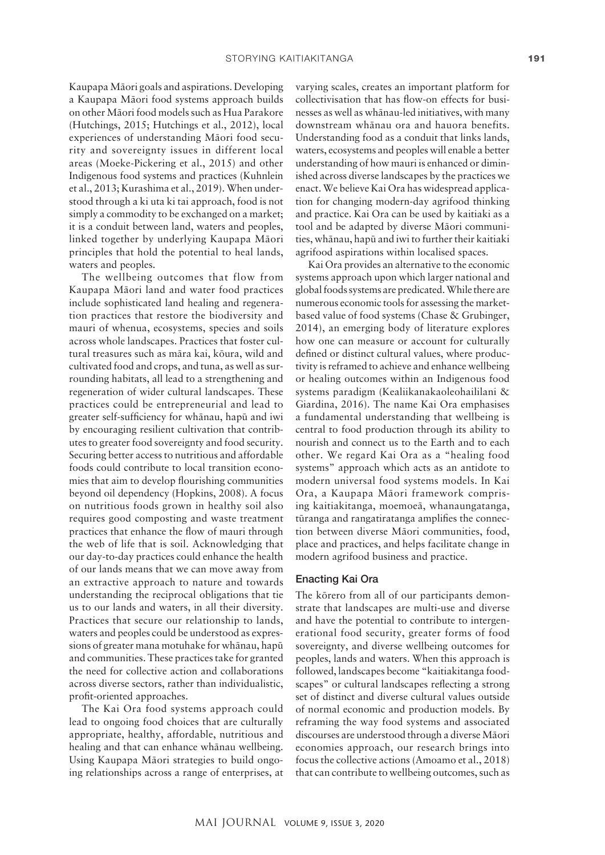Kaupapa Mäori goals and aspirations. Developing a Kaupapa Mäori food systems approach builds on other Mäori food models such as Hua Parakore (Hutchings, 2015; Hutchings et al., 2012), local experiences of understanding Mäori food security and sovereignty issues in different local areas (Moeke-Pickering et al., 2015) and other Indigenous food systems and practices (Kuhnlein et al., 2013; Kurashima et al., 2019). When understood through a ki uta ki tai approach, food is not simply a commodity to be exchanged on a market; it is a conduit between land, waters and peoples, linked together by underlying Kaupapa Mäori principles that hold the potential to heal lands, waters and peoples.

The wellbeing outcomes that flow from Kaupapa Mäori land and water food practices include sophisticated land healing and regeneration practices that restore the biodiversity and mauri of whenua, ecosystems, species and soils across whole landscapes. Practices that foster cultural treasures such as mära kai, köura, wild and cultivated food and crops, and tuna, as well as surrounding habitats, all lead to a strengthening and regeneration of wider cultural landscapes. These practices could be entrepreneurial and lead to greater self-sufficiency for whänau, hapü and iwi by encouraging resilient cultivation that contributes to greater food sovereignty and food security. Securing better access to nutritious and affordable foods could contribute to local transition economies that aim to develop flourishing communities beyond oil dependency (Hopkins, 2008). A focus on nutritious foods grown in healthy soil also requires good composting and waste treatment practices that enhance the flow of mauri through the web of life that is soil. Acknowledging that our day-to-day practices could enhance the health of our lands means that we can move away from an extractive approach to nature and towards understanding the reciprocal obligations that tie us to our lands and waters, in all their diversity. Practices that secure our relationship to lands, waters and peoples could be understood as expressions of greater mana motuhake for whänau, hapü and communities. These practices take for granted the need for collective action and collaborations across diverse sectors, rather than individualistic, profit-oriented approaches.

The Kai Ora food systems approach could lead to ongoing food choices that are culturally appropriate, healthy, affordable, nutritious and healing and that can enhance whänau wellbeing. Using Kaupapa Mäori strategies to build ongoing relationships across a range of enterprises, at varying scales, creates an important platform for collectivisation that has flow-on effects for businesses as well as whänau-led initiatives, with many downstream whänau ora and hauora benefits. Understanding food as a conduit that links lands, waters, ecosystems and peoples will enable a better understanding of how mauri is enhanced or diminished across diverse landscapes by the practices we enact. We believe Kai Ora has widespread application for changing modern-day agrifood thinking and practice. Kai Ora can be used by kaitiaki as a tool and be adapted by diverse Mäori communities, whänau, hapü and iwi to further their kaitiaki agrifood aspirations within localised spaces.

Kai Ora provides an alternative to the economic systems approach upon which larger national and global foods systems are predicated. While there are numerous economic tools for assessing the marketbased value of food systems (Chase & Grubinger, 2014), an emerging body of literature explores how one can measure or account for culturally defined or distinct cultural values, where productivity is reframed to achieve and enhance wellbeing or healing outcomes within an Indigenous food systems paradigm (Kealiikanakaoleohaililani & Giardina, 2016). The name Kai Ora emphasises a fundamental understanding that wellbeing is central to food production through its ability to nourish and connect us to the Earth and to each other. We regard Kai Ora as a "healing food systems" approach which acts as an antidote to modern universal food systems models. In Kai Ora, a Kaupapa Mäori framework comprising kaitiakitanga, moemoeä, whanaungatanga, türanga and rangatiratanga amplifies the connection between diverse Mäori communities, food, place and practices, and helps facilitate change in modern agrifood business and practice.

#### Enacting Kai Ora

The körero from all of our participants demonstrate that landscapes are multi-use and diverse and have the potential to contribute to intergenerational food security, greater forms of food sovereignty, and diverse wellbeing outcomes for peoples, lands and waters. When this approach is followed, landscapes become "kaitiakitanga foodscapes" or cultural landscapes reflecting a strong set of distinct and diverse cultural values outside of normal economic and production models. By reframing the way food systems and associated discourses are understood through a diverse Mäori economies approach, our research brings into focus the collective actions (Amoamo et al., 2018) that can contribute to wellbeing outcomes, such as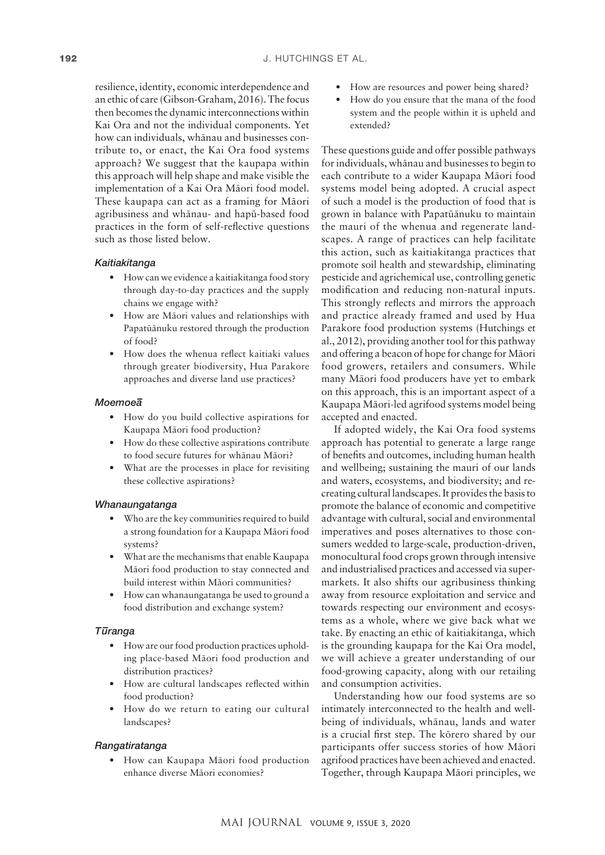resilience, identity, economic interdependence and an ethic of care (Gibson-Graham, 2016). The focus then becomes the dynamic interconnections within Kai Ora and not the individual components. Yet how can individuals, whänau and businesses contribute to, or enact, the Kai Ora food systems approach? We suggest that the kaupapa within this approach will help shape and make visible the implementation of a Kai Ora Mäori food model. These kaupapa can act as a framing for Mäori agribusiness and whänau- and hapü-based food practices in the form of self-reflective questions such as those listed below.

# *Kaitiakitanga*

- How can we evidence a kaitiakitanga food story through day-to-day practices and the supply chains we engage with?
- How are Mäori values and relationships with Papatüänuku restored through the production of food?
- How does the whenua reflect kaitiaki values through greater biodiversity, Hua Parakore approaches and diverse land use practices?

#### *Moemoea–*

- How do you build collective aspirations for Kaupapa Mäori food production?
- How do these collective aspirations contribute to food secure futures for whänau Mäori?
- What are the processes in place for revisiting these collective aspirations?

#### *Whanaungatanga*

- Who are the key communities required to build a strong foundation for a Kaupapa Mäori food systems?
- What are the mechanisms that enable Kaupapa Mäori food production to stay connected and build interest within Mäori communities?
- How can whanaungatanga be used to ground a food distribution and exchange system?

#### *Tu–ranga*

- How are our food production practices upholding place-based Mäori food production and distribution practices?
- How are cultural landscapes reflected within food production?
- How do we return to eating our cultural landscapes?

#### *Rangatiratanga*

• How can Kaupapa Mäori food production enhance diverse Mäori economies?

- How are resources and power being shared?
- How do you ensure that the mana of the food system and the people within it is upheld and extended?

These questions guide and offer possible pathways for individuals, whänau and businesses to begin to each contribute to a wider Kaupapa Mäori food systems model being adopted. A crucial aspect of such a model is the production of food that is grown in balance with Papatüänuku to maintain the mauri of the whenua and regenerate landscapes. A range of practices can help facilitate this action, such as kaitiakitanga practices that promote soil health and stewardship, eliminating pesticide and agrichemical use, controlling genetic modification and reducing non-natural inputs. This strongly reflects and mirrors the approach and practice already framed and used by Hua Parakore food production systems (Hutchings et al., 2012), providing another tool for this pathway and offering a beacon of hope for change for Mäori food growers, retailers and consumers. While many Mäori food producers have yet to embark on this approach, this is an important aspect of a Kaupapa Mäori-led agrifood systems model being accepted and enacted.

If adopted widely, the Kai Ora food systems approach has potential to generate a large range of benefits and outcomes, including human health and wellbeing; sustaining the mauri of our lands and waters, ecosystems, and biodiversity; and recreating cultural landscapes. It provides the basis to promote the balance of economic and competitive advantage with cultural, social and environmental imperatives and poses alternatives to those consumers wedded to large-scale, production-driven, monocultural food crops grown through intensive and industrialised practices and accessed via supermarkets. It also shifts our agribusiness thinking away from resource exploitation and service and towards respecting our environment and ecosystems as a whole, where we give back what we take. By enacting an ethic of kaitiakitanga, which is the grounding kaupapa for the Kai Ora model, we will achieve a greater understanding of our food-growing capacity, along with our retailing and consumption activities.

Understanding how our food systems are so intimately interconnected to the health and wellbeing of individuals, whänau, lands and water is a crucial first step. The körero shared by our participants offer success stories of how Mäori agrifood practices have been achieved and enacted. Together, through Kaupapa Mäori principles, we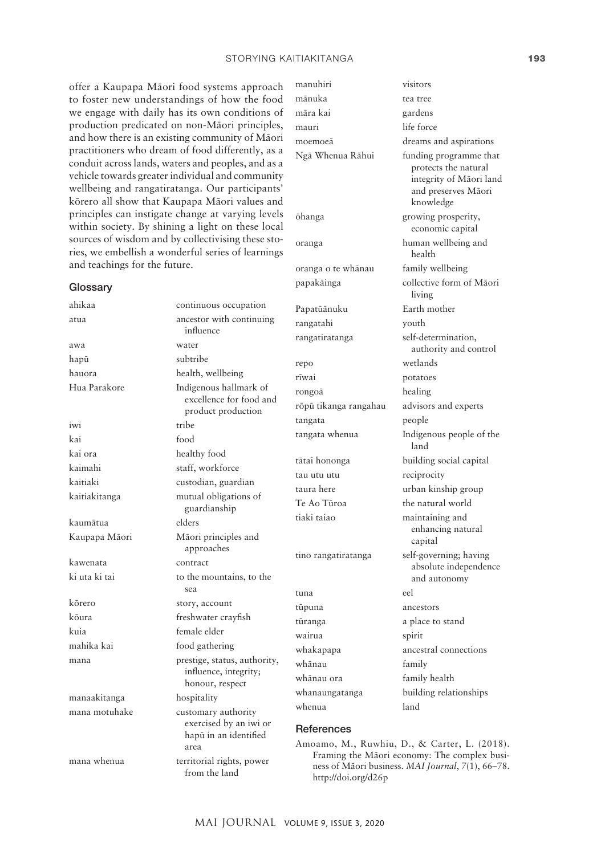#### STORYING KAITIAKITANGA 193

offer a Kaupapa Mäori food systems approach to foster new understandings of how the food we engage with daily has its own conditions of production predicated on non-Mäori principles, and how there is an existing community of Mäori practitioners who dream of food differently, as a conduit across lands, waters and peoples, and as a vehicle towards greater individual and community wellbeing and rangatiratanga. Our participants' körero all show that Kaupapa Mäori values and principles can instigate change at varying levels within society. By shining a light on these local sources of wisdom and by collectivising these stories, we embellish a wonderful series of learnings and teachings for the future.

#### **Glossary**

ahikaa continuous occupation atua ancestor with continuing influence awa water hapū subtribe hauora health, wellbeing Hua Parakore Indigenous hallmark of excellence for food and product production iwi tribe kai food kai ora healthy food kaimahi staff, workforce kaitiaki custodian, guardian kaitiakitanga mutual obligations of guardianship kaumätua elders Kaupapa Mäori Mäori principles and approaches kawenata contract ki uta ki tai to the mountains, to the sea körero story, account köura freshwater crayfish kuia female elder mahika kai food gathering mana prestige, status, authority, influence, integrity; honour, respect manaakitanga hospitality mana motuhake customary authority exercised by an iwi or hapü in an identified area mana whenua territorial rights, power

manuhiri visitors mänuka tea tree mära kai gardens mauri life force

rangatahi youth

repo wetlands rïwai potatoes rongoä healing tangata people tau utu utu reciprocity

tuna eel tüpuna ancestors wairua spirit whänau family whänau ora family health

moemoeä dreams and aspirations Ngā Whenua Rāhui funding programme that protects the natural integrity of Mäori land and preserves Mäori knowledge öhanga growing prosperity, economic capital oranga human wellbeing and health oranga o te whänau family wellbeing papakäinga collective form of Mäori living Papatüänuku Earth mother rangatiratanga self-determination, authority and control röpü tikanga rangahau advisors and experts tangata whenua Indigenous people of the land tätai hononga building social capital taura here urban kinship group Te Ao Tūroa the natural world tiaki taiao maintaining and enhancing natural capital tino rangatiratanga self-governing; having absolute independence and autonomy tūranga a place to stand whakapapa ancestral connections whanaungatanga building relationships

# **References**

whenua land

Amoamo, M., Ruwhiu, D., & Carter, L. (2018). Framing the Mäori economy: The complex business of Mäori business. *MAI Journal*, *7*(1), 66–78. <http://doi.org/d26p>

from the land